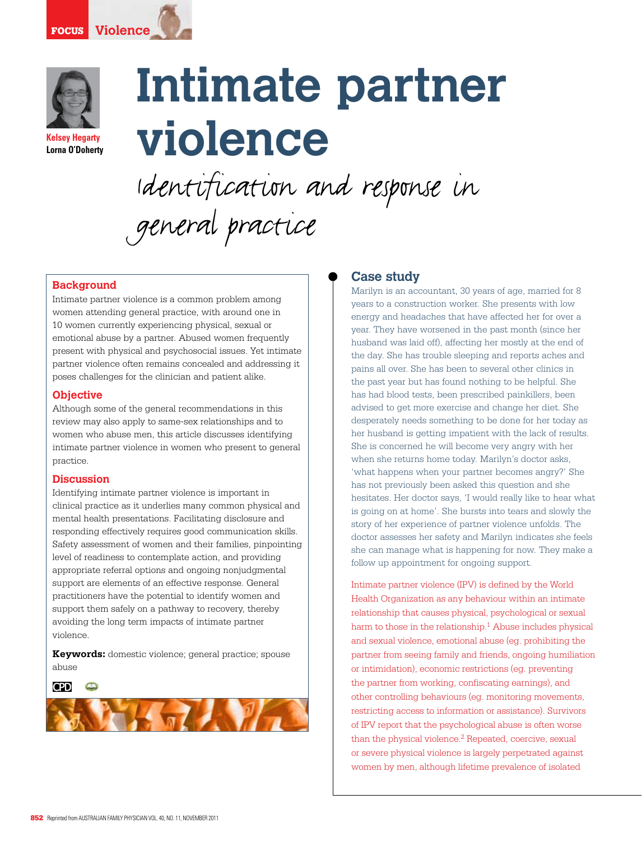



**Kelsey Hegarty Lorna O'Doherty**

# **Intimate partner violence**

Identification and response in general practice

## **Background**

Intimate partner violence is a common problem among women attending general practice, with around one in 10 women currently experiencing physical, sexual or emotional abuse by a partner. Abused women frequently present with physical and psychosocial issues. Yet intimate partner violence often remains concealed and addressing it poses challenges for the clinician and patient alike.

## **Objective**

Although some of the general recommendations in this review may also apply to same-sex relationships and to women who abuse men, this article discusses identifying intimate partner violence in women who present to general practice.

#### **Discussion**

Identifying intimate partner violence is important in clinical practice as it underlies many common physical and mental health presentations. Facilitating disclosure and responding effectively requires good communication skills. Safety assessment of women and their families, pinpointing level of readiness to contemplate action, and providing appropriate referral options and ongoing nonjudgmental support are elements of an effective response. General practitioners have the potential to identify women and support them safely on a pathway to recovery, thereby avoiding the long term impacts of intimate partner violence.

**Keywords:** domestic violence; general practice; spouse abuse



## **Case study**

Marilyn is an accountant, 30 years of age, married for 8 years to a construction worker. She presents with low energy and headaches that have affected her for over a year. They have worsened in the past month (since her husband was laid off), affecting her mostly at the end of the day. She has trouble sleeping and reports aches and pains all over. She has been to several other clinics in the past year but has found nothing to be helpful. She has had blood tests, been prescribed painkillers, been advised to get more exercise and change her diet. She desperately needs something to be done for her today as her husband is getting impatient with the lack of results. She is concerned he will become very angry with her when she returns home today. Marilyn's doctor asks, 'what happens when your partner becomes angry?' She has not previously been asked this question and she hesitates. Her doctor says, 'I would really like to hear what is going on at home'. She bursts into tears and slowly the story of her experience of partner violence unfolds. The doctor assesses her safety and Marilyn indicates she feels she can manage what is happening for now. They make a follow up appointment for ongoing support.

Intimate partner violence (IPV) is defined by the World Health Organization as any behaviour within an intimate relationship that causes physical, psychological or sexual harm to those in the relationship.<sup>1</sup> Abuse includes physical and sexual violence, emotional abuse (eg. prohibiting the partner from seeing family and friends, ongoing humiliation or intimidation), economic restrictions (eg. preventing the partner from working, confiscating earnings), and other controlling behaviours (eg. monitoring movements, restricting access to information or assistance). Survivors of IPV report that the psychological abuse is often worse than the physical violence.<sup>2</sup> Repeated, coercive, sexual or severe physical violence is largely perpetrated against women by men, although lifetime prevalence of isolated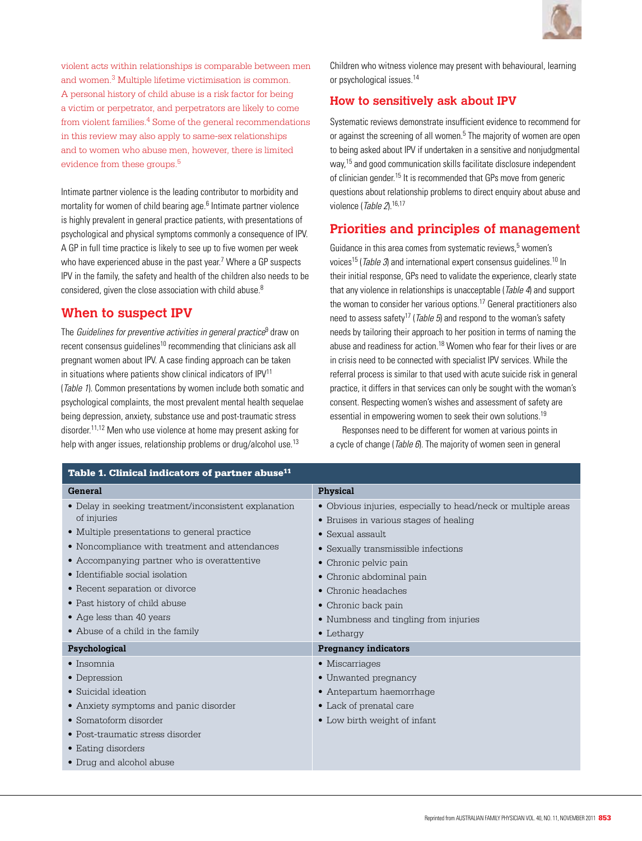

violent acts within relationships is comparable between men and women.3 Multiple lifetime victimisation is common. A personal history of child abuse is a risk factor for being a victim or perpetrator, and perpetrators are likely to come from violent families.4 Some of the general recommendations in this review may also apply to same-sex relationships and to women who abuse men, however, there is limited evidence from these groups.<sup>5</sup>

Intimate partner violence is the leading contributor to morbidity and mortality for women of child bearing age.<sup>6</sup> Intimate partner violence is highly prevalent in general practice patients, with presentations of psychological and physical symptoms commonly a consequence of IPV. A GP in full time practice is likely to see up to five women per week who have experienced abuse in the past year.<sup>7</sup> Where a GP suspects IPV in the family, the safety and health of the children also needs to be considered, given the close association with child abuse.8

# **When to suspect IPV**

The *Guidelines for preventive activities in general practice*<sup>9</sup> draw on recent consensus quidelines<sup>10</sup> recommending that clinicians ask all pregnant women about IPV. A case finding approach can be taken in situations where patients show clinical indicators of IPV<sup>11</sup> (Table 1). Common presentations by women include both somatic and psychological complaints, the most prevalent mental health sequelae being depression, anxiety, substance use and post-traumatic stress disorder.11,12 Men who use violence at home may present asking for help with anger issues, relationship problems or drug/alcohol use.<sup>13</sup>

Children who witness violence may present with behavioural, learning or psychological issues.14

# **How to sensitively ask about IPV**

Systematic reviews demonstrate insufficient evidence to recommend for or against the screening of all women.<sup>5</sup> The majority of women are open to being asked about IPV if undertaken in a sensitive and nonjudgmental way,<sup>15</sup> and good communication skills facilitate disclosure independent of clinician gender.15 It is recommended that GPs move from generic questions about relationship problems to direct enquiry about abuse and violence (Table 2).<sup>16,17</sup>

# **Priorities and principles of management**

Guidance in this area comes from systematic reviews,<sup>5</sup> women's voices<sup>15</sup> (*Table 3*) and international expert consensus quidelines.<sup>10</sup> In their initial response, GPs need to validate the experience, clearly state that any violence in relationships is unacceptable (Table 4) and support the woman to consider her various options.17 General practitioners also need to assess safety<sup>17</sup> (*Table 5*) and respond to the woman's safety needs by tailoring their approach to her position in terms of naming the abuse and readiness for action.<sup>18</sup> Women who fear for their lives or are in crisis need to be connected with specialist IPV services. While the referral process is similar to that used with acute suicide risk in general practice, it differs in that services can only be sought with the woman's consent. Respecting women's wishes and assessment of safety are essential in empowering women to seek their own solutions.<sup>19</sup>

Responses need to be different for women at various points in a cycle of change (*Table 6*). The majority of women seen in general

| Table 1. Clinical indicators of partner abuse <sup>11</sup> |                                                               |  |  |  |
|-------------------------------------------------------------|---------------------------------------------------------------|--|--|--|
| General                                                     | Physical                                                      |  |  |  |
| • Delay in seeking treatment/inconsistent explanation       | • Obvious injuries, especially to head/neck or multiple areas |  |  |  |
| of injuries                                                 | • Bruises in various stages of healing                        |  |  |  |
| • Multiple presentations to general practice                | $\bullet$ Sexual assault.                                     |  |  |  |
| • Noncompliance with treatment and attendances              | • Sexually transmissible infections                           |  |  |  |
| • Accompanying partner who is overattentive                 | • Chronic pelvic pain                                         |  |  |  |
| • Identifiable social isolation                             | • Chronic abdominal pain                                      |  |  |  |
| • Recent separation or divorce                              | $\bullet$ Chronic headaches                                   |  |  |  |
| • Past history of child abuse                               | • Chronic back pain                                           |  |  |  |
| • Age less than 40 years                                    | • Numbness and tingling from injuries                         |  |  |  |
| • Abuse of a child in the family                            | $\bullet$ Lethargy                                            |  |  |  |
| Psychological                                               | <b>Pregnancy indicators</b>                                   |  |  |  |
| $\bullet$ Insomnia                                          | • Miscarriages                                                |  |  |  |
| • Depression                                                | • Unwanted pregnancy                                          |  |  |  |
| • Suicidal ideation                                         | • Antepartum haemorrhage                                      |  |  |  |
| • Anxiety symptoms and panic disorder                       | • Lack of prenatal care                                       |  |  |  |
| • Somatoform disorder                                       | • Low birth weight of infant                                  |  |  |  |
| • Post-traumatic stress disorder                            |                                                               |  |  |  |
| • Eating disorders                                          |                                                               |  |  |  |
| • Drug and alcohol abuse                                    |                                                               |  |  |  |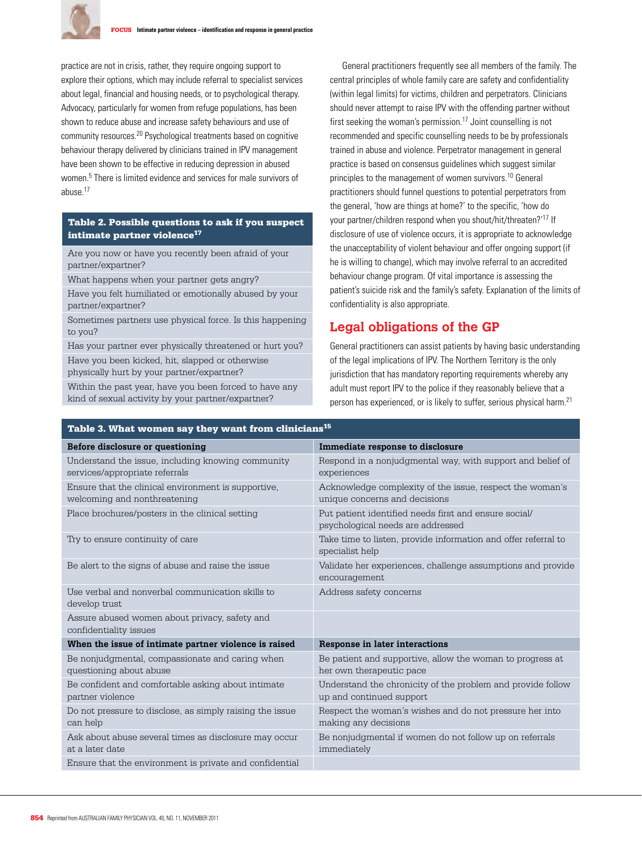

practice are not in crisis, rather, they require ongoing support to explore their options, which may include referral to specialist services about legal, financial and housing needs, or to psychological therapy. Advocacy, particularly for women from refuge populations, has been shown to reduce abuse and increase safety behaviours and use of community resources.20 Psychological treatments based on cognitive behaviour therapy delivered by clinicians trained in IPV management have been shown to be effective in reducing depression in abused women.5 There is limited evidence and services for male survivors of abuse.<sup>17</sup>

### Table 2. Possible questions to ask if you suspect intimate partner violence<sup>17</sup>

Are you now or have you recently been afraid of your partner/expartner?

What happens when your partner gets angry?

Have you felt humiliated or emotionally abused by your partner/expartner?

Sometimes partners use physical force. Is this happening to you?

Has your partner ever physically threatened or hurt you? Have you been kicked, hit, slapped or otherwise

physically hurt by your partner/expartner?

Within the past year, have you been forced to have any kind of sexual activity by your partner/expartner?

General practitioners frequently see all members of the family. The central principles of whole family care are safety and confidentiality (within legal limits) for victims, children and perpetrators. Clinicians should never attempt to raise IPV with the offending partner without first seeking the woman's permission.17 Joint counselling is not recommended and specific counselling needs to be by professionals trained in abuse and violence. Perpetrator management in general practice is based on consensus guidelines which suggest similar principles to the management of women survivors.<sup>10</sup> General practitioners should funnel questions to potential perpetrators from the general, 'how are things at home?' to the specific, 'how do your partner/children respond when you shout/hit/threaten?'17 If disclosure of use of violence occurs, it is appropriate to acknowledge the unacceptability of violent behaviour and offer ongoing support (if he is willing to change), which may involve referral to an accredited behaviour change program. Of vital importance is assessing the patient's suicide risk and the family's safety. Explanation of the limits of confidentiality is also appropriate.

# **Legal obligations of the GP**

General practitioners can assist patients by having basic understanding of the legal implications of IPV. The Northern Territory is the only jurisdiction that has mandatory reporting requirements whereby any adult must report IPV to the police if they reasonably believe that a person has experienced, or is likely to suffer, serious physical harm.21

| Table 3. What women say they want from clinicians <sup>15</sup> |  |  |
|-----------------------------------------------------------------|--|--|
|                                                                 |  |  |

| Before disclosure or questioning                                                    | Immediate response to disclosure                                                           |
|-------------------------------------------------------------------------------------|--------------------------------------------------------------------------------------------|
| Understand the issue, including knowing community<br>services/appropriate referrals | Respond in a nonjudgmental way, with support and belief of<br>experiences                  |
| Ensure that the clinical environment is supportive,<br>welcoming and nonthreatening | Acknowledge complexity of the issue, respect the woman's<br>unique concerns and decisions  |
| Place brochures/posters in the clinical setting                                     | Put patient identified needs first and ensure social/<br>psychological needs are addressed |
| Try to ensure continuity of care                                                    | Take time to listen, provide information and offer referral to<br>specialist help          |
| Be alert to the signs of abuse and raise the issue                                  | Validate her experiences, challenge assumptions and provide<br>encouragement               |
| Use verbal and nonverbal communication skills to<br>develop trust                   | Address safety concerns                                                                    |
| Assure abused women about privacy, safety and<br>confidentiality issues             |                                                                                            |
| When the issue of intimate partner violence is raised                               | <b>Response in later interactions</b>                                                      |
| Be nonjudgmental, compassionate and caring when<br>questioning about abuse          | Be patient and supportive, allow the woman to progress at<br>her own therapeutic pace      |
| Be confident and comfortable asking about intimate<br>partner violence              | Understand the chronicity of the problem and provide follow<br>up and continued support    |
| Do not pressure to disclose, as simply raising the issue<br>can help                | Respect the woman's wishes and do not pressure her into<br>making any decisions            |
| Ask about abuse several times as disclosure may occur<br>at a later date            | Be nonjudgmental if women do not follow up on referrals<br>immediately                     |
| Ensure that the environment is private and confidential                             |                                                                                            |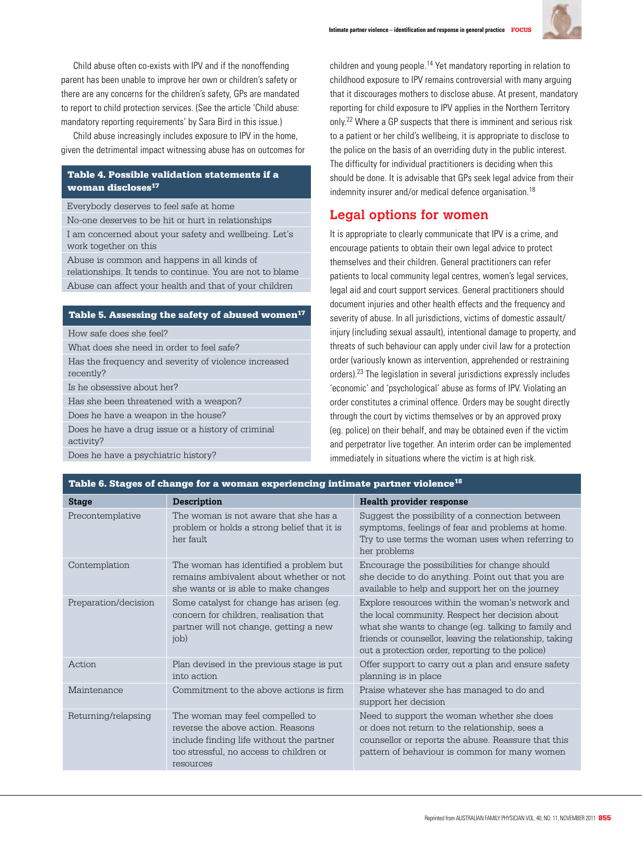

Child abuse often co-exists with IPV and if the nonoffending parent has been unable to improve her own or children's safety or there are any concerns for the children's safety, GPs are mandated to report to child protection services. (See the article 'Child abuse: mandatory reporting requirements' by Sara Bird in this issue.)

Child abuse increasingly includes exposure to IPV in the home, given the detrimental impact witnessing abuse has on outcomes for

## Table 4. Possible validation statements if a woman discloses $17$

Everybody deserves to feel safe at home

No-one deserves to be hit or hurt in relationships

I am concerned about your safety and wellbeing. Let's work together on this

Abuse is common and happens in all kinds of relationships. It tends to continue. You are not to blame

Abuse can affect your health and that of your children

#### Table 5. Assessing the safety of abused women<sup>17</sup>

How safe does she feel?

What does she need in order to feel safe?

Has the frequency and severity of violence increased recently?

Is he obsessive about her?

Has she been threatened with a weapon?

Does he have a weapon in the house?

Does he have a drug issue or a history of criminal activity?

Does he have a psychiatric history?

children and young people.14 Yet mandatory reporting in relation to childhood exposure to IPV remains controversial with many arguing that it discourages mothers to disclose abuse. At present, mandatory reporting for child exposure to IPV applies in the Northern Territory only.22 Where a GP suspects that there is imminent and serious risk to a patient or her child's wellbeing, it is appropriate to disclose to the police on the basis of an overriding duty in the public interest. The difficulty for individual practitioners is deciding when this should be done. It is advisable that GPs seek legal advice from their indemnity insurer and/or medical defence organisation.<sup>18</sup>

# **Legal options for women**

It is appropriate to clearly communicate that IPV is a crime, and encourage patients to obtain their own legal advice to protect themselves and their children. General practitioners can refer patients to local community legal centres, women's legal services, legal aid and court support services. General practitioners should document injuries and other health effects and the frequency and severity of abuse. In all jurisdictions, victims of domestic assault/ injury (including sexual assault), intentional damage to property, and threats of such behaviour can apply under civil law for a protection order (variously known as intervention, apprehended or restraining orders).23 The legislation in several jurisdictions expressly includes 'economic' and 'psychological' abuse as forms of IPV. Violating an order constitutes a criminal offence. Orders may be sought directly through the court by victims themselves or by an approved proxy (eg. police) on their behalf, and may be obtained even if the victim and perpetrator live together. An interim order can be implemented immediately in situations where the victim is at high risk.

| Table 6. Stages of change for a woman experiencing intimate partner violence <sup>18</sup> |                                                                                                                                                                          |                                                                                                                                                                                                                                                                           |  |  |
|--------------------------------------------------------------------------------------------|--------------------------------------------------------------------------------------------------------------------------------------------------------------------------|---------------------------------------------------------------------------------------------------------------------------------------------------------------------------------------------------------------------------------------------------------------------------|--|--|
| <b>Stage</b>                                                                               | Description                                                                                                                                                              | <b>Health provider response</b>                                                                                                                                                                                                                                           |  |  |
| Precontemplative                                                                           | The woman is not aware that she has a<br>problem or holds a strong belief that it is<br>her fault                                                                        | Suggest the possibility of a connection between<br>symptoms, feelings of fear and problems at home.<br>Try to use terms the woman uses when referring to<br>her problems                                                                                                  |  |  |
| Contemplation                                                                              | The woman has identified a problem but<br>remains ambivalent about whether or not<br>she wants or is able to make changes                                                | Encourage the possibilities for change should<br>she decide to do anything. Point out that you are<br>available to help and support her on the journey                                                                                                                    |  |  |
| Preparation/decision                                                                       | Some catalyst for change has arisen (eg.<br>concern for children, realisation that<br>partner will not change, getting a new<br>job)                                     | Explore resources within the woman's network and<br>the local community. Respect her decision about<br>what she wants to change (eg. talking to family and<br>friends or counsellor, leaving the relationship, taking<br>out a protection order, reporting to the police) |  |  |
| Action                                                                                     | Plan devised in the previous stage is put<br>into action                                                                                                                 | Offer support to carry out a plan and ensure safety<br>planning is in place                                                                                                                                                                                               |  |  |
| Maintenance                                                                                | Commitment to the above actions is firm                                                                                                                                  | Praise whatever she has managed to do and<br>support her decision                                                                                                                                                                                                         |  |  |
| Returning/relapsing                                                                        | The woman may feel compelled to<br>reverse the above action. Reasons<br>include finding life without the partner<br>too stressful, no access to children or<br>resources | Need to support the woman whether she does<br>or does not return to the relationship, sees a<br>counsellor or reports the abuse. Reassure that this<br>pattern of behaviour is common for many women                                                                      |  |  |